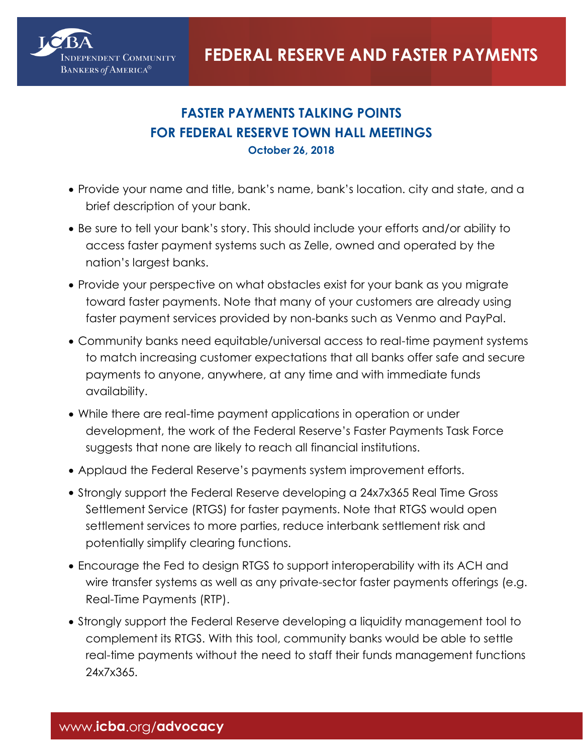

## **FASTER PAYMENTS TALKING POINTS FOR FEDERAL RESERVE TOWN HALL MEETINGS October 26, 2018**

- Provide your name and title, bank's name, bank's location. city and state, and a brief description of your bank.
- Be sure to tell your bank's story. This should include your efforts and/or ability to access faster payment systems such as Zelle, owned and operated by the nation's largest banks.
- Provide your perspective on what obstacles exist for your bank as you migrate toward faster payments. Note that many of your customers are already using faster payment services provided by non-banks such as Venmo and PayPal.
- Community banks need equitable/universal access to real-time payment systems to match increasing customer expectations that all banks offer safe and secure payments to anyone, anywhere, at any time and with immediate funds availability.
- While there are real-time payment applications in operation or under development, the work of the Federal Reserve's Faster Payments Task Force suggests that none are likely to reach all financial institutions.
- Applaud the Federal Reserve's payments system improvement efforts.
- Strongly support the Federal Reserve developing a 24x7x365 Real Time Gross Settlement Service (RTGS) for faster payments. Note that RTGS would open settlement services to more parties, reduce interbank settlement risk and potentially simplify clearing functions.
- Encourage the Fed to design RTGS to support interoperability with its ACH and wire transfer systems as well as any private-sector faster payments offerings (e.g. Real-Time Payments (RTP).
- Strongly support the Federal Reserve developing a liquidity management tool to complement its RTGS. With this tool, community banks would be able to settle real-time payments without the need to staff their funds management functions 24x7x365.